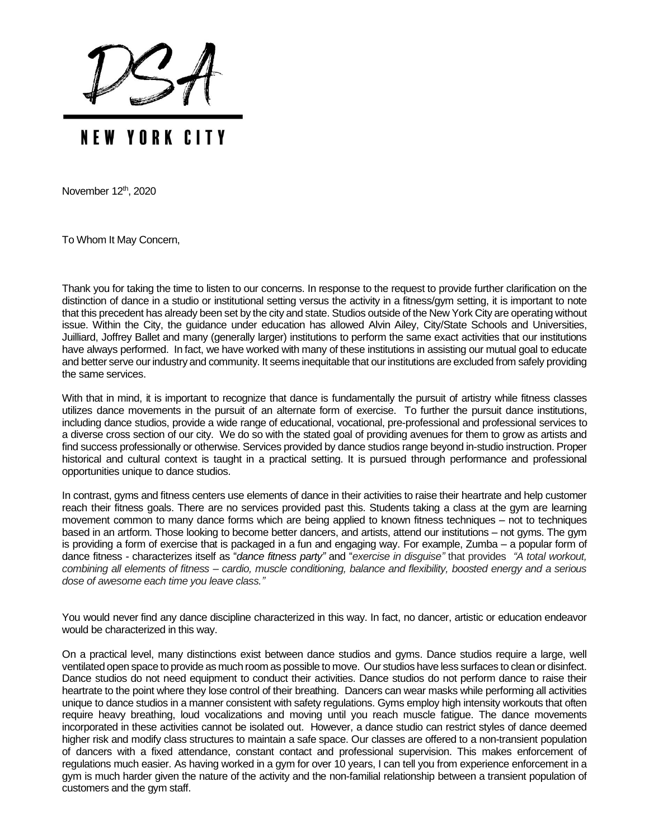

November 12<sup>th</sup>, 2020

To Whom It May Concern,

Thank you for taking the time to listen to our concerns. In response to the request to provide further clarification on the distinction of dance in a studio or institutional setting versus the activity in a fitness/gym setting, it is important to note that this precedent has already been set by the city and state. Studios outside of the New York City are operating without issue. Within the City, the guidance under education has allowed Alvin Ailey, City/State Schools and Universities, Juilliard, Joffrey Ballet and many (generally larger) institutions to perform the same exact activities that our institutions have always performed. In fact, we have worked with many of these institutions in assisting our mutual goal to educate and better serve our industry and community. It seems inequitable that our institutions are excluded from safely providing the same services.

With that in mind, it is important to recognize that dance is fundamentally the pursuit of artistry while fitness classes utilizes dance movements in the pursuit of an alternate form of exercise. To further the pursuit dance institutions, including dance studios, provide a wide range of educational, vocational, pre-professional and professional services to a diverse cross section of our city. We do so with the stated goal of providing avenues for them to grow as artists and find success professionally or otherwise. Services provided by dance studios range beyond in-studio instruction. Proper historical and cultural context is taught in a practical setting. It is pursued through performance and professional opportunities unique to dance studios.

In contrast, gyms and fitness centers use elements of dance in their activities to raise their heartrate and help customer reach their fitness goals. There are no services provided past this. Students taking a class at the gym are learning movement common to many dance forms which are being applied to known fitness techniques – not to techniques based in an artform. Those looking to become better dancers, and artists, attend our institutions – not gyms. The gym is providing a form of exercise that is packaged in a fun and engaging way. For example, Zumba – a popular form of dance fitness - characterizes itself as "*dance fitness party"* and "*exercise in disguise"* that provides *"A total workout, combining all elements of fitness – cardio, muscle conditioning, balance and flexibility, boosted energy and a serious dose of awesome each time you leave class."*

You would never find any dance discipline characterized in this way. In fact, no dancer, artistic or education endeavor would be characterized in this way.

On a practical level, many distinctions exist between dance studios and gyms. Dance studios require a large, well ventilated open space to provide as much room as possible to move. Our studios have less surfaces to clean or disinfect. Dance studios do not need equipment to conduct their activities. Dance studios do not perform dance to raise their heartrate to the point where they lose control of their breathing. Dancers can wear masks while performing all activities unique to dance studios in a manner consistent with safety regulations. Gyms employ high intensity workouts that often require heavy breathing, loud vocalizations and moving until you reach muscle fatigue. The dance movements incorporated in these activities cannot be isolated out. However, a dance studio can restrict styles of dance deemed higher risk and modify class structures to maintain a safe space. Our classes are offered to a non-transient population of dancers with a fixed attendance, constant contact and professional supervision. This makes enforcement of regulations much easier. As having worked in a gym for over 10 years, I can tell you from experience enforcement in a gym is much harder given the nature of the activity and the non-familial relationship between a transient population of customers and the gym staff.